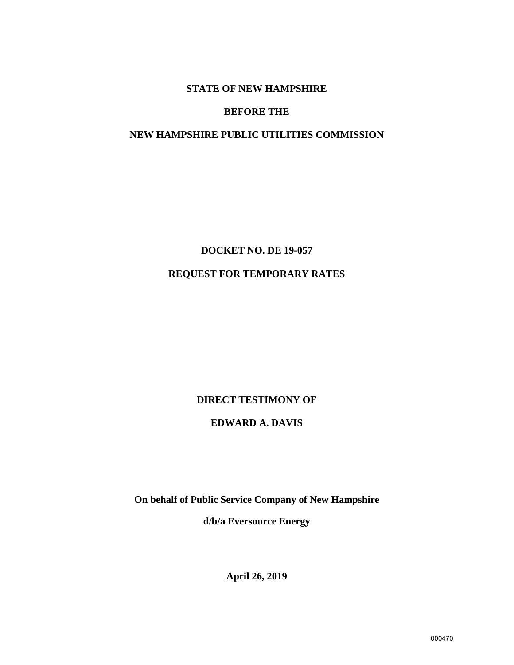# **STATE OF NEW HAMPSHIRE**

# **BEFORE THE**

# **NEW HAMPSHIRE PUBLIC UTILITIES COMMISSION**

**DOCKET NO. DE 19-057** 

# **REQUEST FOR TEMPORARY RATES**

# **DIRECT TESTIMONY OF**

# **EDWARD A. DAVIS**

**On behalf of Public Service Company of New Hampshire** 

**d/b/a Eversource Energy**

**April 26, 2019**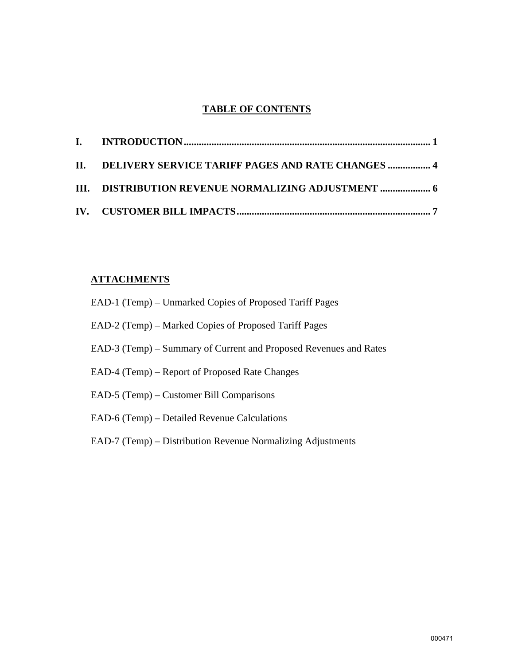# **TABLE OF CONTENTS**

| II. DELIVERY SERVICE TARIFF PAGES AND RATE CHANGES  4 |  |
|-------------------------------------------------------|--|
| III. DISTRIBUTION REVENUE NORMALIZING ADJUSTMENT  6   |  |
|                                                       |  |

# **ATTACHMENTS**

| EAD-1 (Temp) – Unmarked Copies of Proposed Tariff Pages           |
|-------------------------------------------------------------------|
| EAD-2 (Temp) – Marked Copies of Proposed Tariff Pages             |
| EAD-3 (Temp) – Summary of Current and Proposed Revenues and Rates |
| EAD-4 (Temp) – Report of Proposed Rate Changes                    |
| EAD-5 (Temp) – Customer Bill Comparisons                          |
| EAD-6 (Temp) – Detailed Revenue Calculations                      |
| EAD-7 (Temp) – Distribution Revenue Normalizing Adjustments       |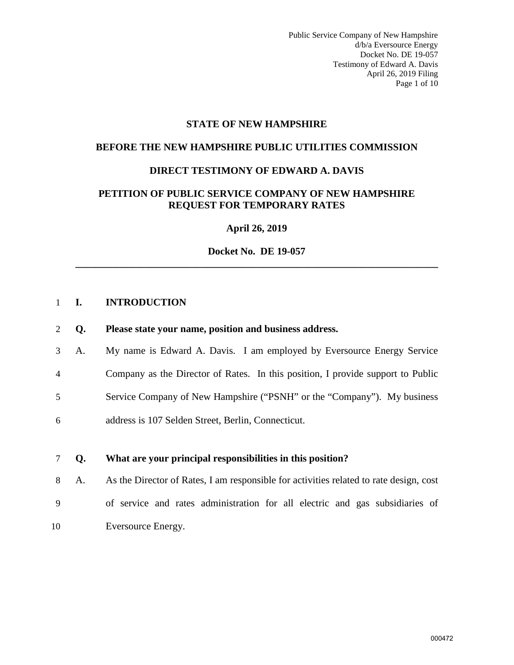Public Service Company of New Hampshire d/b/a Eversource Energy Docket No. DE 19-057 Testimony of Edward A. Davis April 26, 2019 Filing Page 1 of 10

#### **STATE OF NEW HAMPSHIRE**

#### **BEFORE THE NEW HAMPSHIRE PUBLIC UTILITIES COMMISSION**

#### **DIRECT TESTIMONY OF EDWARD A. DAVIS**

## **PETITION OF PUBLIC SERVICE COMPANY OF NEW HAMPSHIRE REQUEST FOR TEMPORARY RATES**

**April 26, 2019** 

**Docket No. DE 19-057 \_\_\_\_\_\_\_\_\_\_\_\_\_\_\_\_\_\_\_\_\_\_\_\_\_\_\_\_\_\_\_\_\_\_\_\_\_\_\_\_\_\_\_\_\_\_\_\_\_\_\_\_\_\_\_\_\_\_\_\_\_\_\_\_\_\_\_\_\_\_\_\_** 

#### <span id="page-2-0"></span>1 **I. INTRODUCTION**

#### 2 **Q. Please state your name, position and business address.**

3 A. My name is Edward A. Davis. I am employed by Eversource Energy Service 4 Company as the Director of Rates. In this position, I provide support to Public 5 Service Company of New Hampshire ("PSNH" or the "Company"). My business 6 address is 107 Selden Street, Berlin, Connecticut.

#### 7 **Q. What are your principal responsibilities in this position?**

8 A. As the Director of Rates, I am responsible for activities related to rate design, cost 9 of service and rates administration for all electric and gas subsidiaries of 10 Eversource Energy.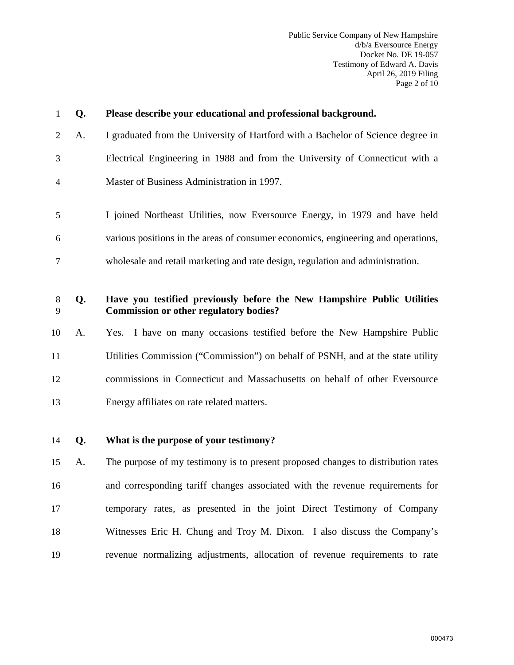| $\mathbf{1}$   | Q. | Please describe your educational and professional background.                                                            |  |  |  |  |
|----------------|----|--------------------------------------------------------------------------------------------------------------------------|--|--|--|--|
| $\overline{2}$ | A. | I graduated from the University of Hartford with a Bachelor of Science degree in                                         |  |  |  |  |
| 3              |    | Electrical Engineering in 1988 and from the University of Connecticut with a                                             |  |  |  |  |
| $\overline{4}$ |    | Master of Business Administration in 1997.                                                                               |  |  |  |  |
| 5              |    | I joined Northeast Utilities, now Eversource Energy, in 1979 and have held                                               |  |  |  |  |
| 6              |    | various positions in the areas of consumer economics, engineering and operations,                                        |  |  |  |  |
| $\tau$         |    | wholesale and retail marketing and rate design, regulation and administration.                                           |  |  |  |  |
| $\,8\,$<br>9   | Q. | Have you testified previously before the New Hampshire Public Utilities<br><b>Commission or other regulatory bodies?</b> |  |  |  |  |
| 10             | A. | Yes. I have on many occasions testified before the New Hampshire Public                                                  |  |  |  |  |
| 11             |    | Utilities Commission ("Commission") on behalf of PSNH, and at the state utility                                          |  |  |  |  |
| 12             |    | commissions in Connecticut and Massachusetts on behalf of other Eversource                                               |  |  |  |  |
| 13             |    | Energy affiliates on rate related matters.                                                                               |  |  |  |  |
| 14             | Q. | What is the purpose of your testimony?                                                                                   |  |  |  |  |
| 15             | A. | The purpose of my testimony is to present proposed changes to distribution rates                                         |  |  |  |  |
| 16             |    | and corresponding tariff changes associated with the revenue requirements for                                            |  |  |  |  |
| 17             |    | temporary rates, as presented in the joint Direct Testimony of Company                                                   |  |  |  |  |
| 18             |    | Witnesses Eric H. Chung and Troy M. Dixon. I also discuss the Company's                                                  |  |  |  |  |
| 19             |    | revenue normalizing adjustments, allocation of revenue requirements to rate                                              |  |  |  |  |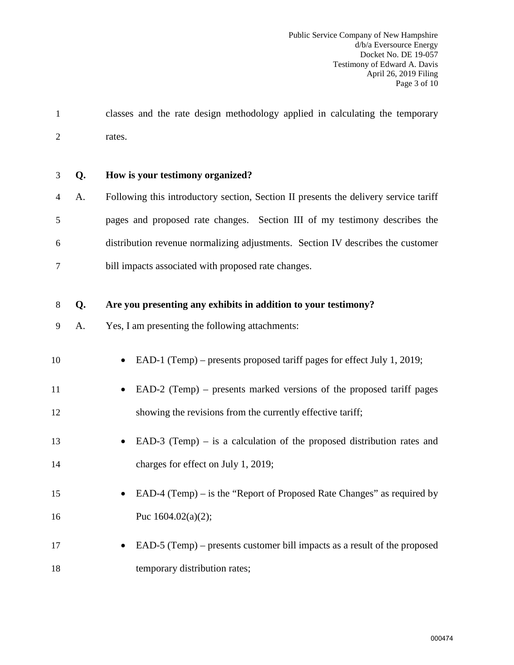1 classes and the rate design methodology applied in calculating the temporary 2 rates.

3 **Q. How is your testimony organized?** 

4 A. Following this introductory section, Section II presents the delivery service tariff 5 pages and proposed rate changes. Section III of my testimony describes the 6 distribution revenue normalizing adjustments. Section IV describes the customer 7 bill impacts associated with proposed rate changes.

#### 8 **Q. Are you presenting any exhibits in addition to your testimony?**

9 A. Yes, I am presenting the following attachments:

| 10 | • EAD-1 (Temp) – presents proposed tariff pages for effect July 1, 2019; |
|----|--------------------------------------------------------------------------|
| 11 | • EAD-2 (Temp) – presents marked versions of the proposed tariff pages   |

- 12 showing the revisions from the currently effective tariff;
- 13 EAD-3 (Temp) is a calculation of the proposed distribution rates and 14 charges for effect on July 1, 2019;
- 15 EAD-4 (Temp) is the "Report of Proposed Rate Changes" as required by 16 Puc  $1604.02(a)(2)$ ;
- 17 EAD-5 (Temp) presents customer bill impacts as a result of the proposed 18 temporary distribution rates;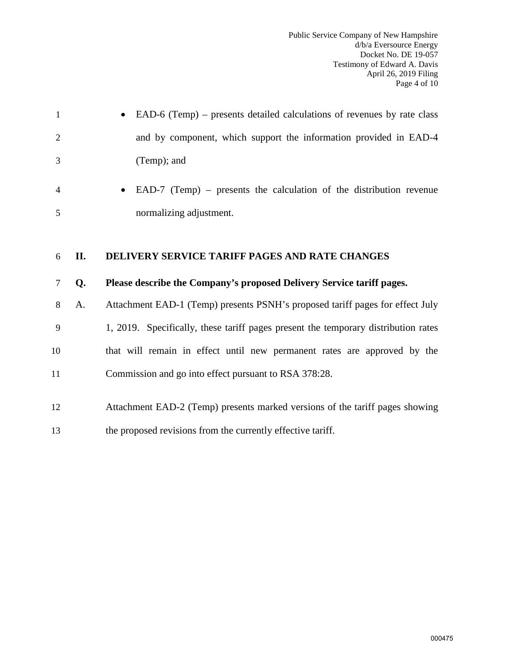|                | • EAD-6 (Temp) – presents detailed calculations of revenues by rate class |
|----------------|---------------------------------------------------------------------------|
| 2              | and by component, which support the information provided in EAD-4         |
| 3              | (Temp); and                                                               |
| $\overline{4}$ | • EAD-7 (Temp) – presents the calculation of the distribution revenue     |
| -5             | normalizing adjustment.                                                   |

# <span id="page-5-0"></span>6 **II. DELIVERY SERVICE TARIFF PAGES AND RATE CHANGES**

## 7 **Q. Please describe the Company's proposed Delivery Service tariff pages.**

8 A. Attachment EAD-1 (Temp) presents PSNH's proposed tariff pages for effect July

9 1, 2019. Specifically, these tariff pages present the temporary distribution rates 10 that will remain in effect until new permanent rates are approved by the 11 Commission and go into effect pursuant to RSA 378:28.

- 12 Attachment EAD-2 (Temp) presents marked versions of the tariff pages showing
- 13 the proposed revisions from the currently effective tariff.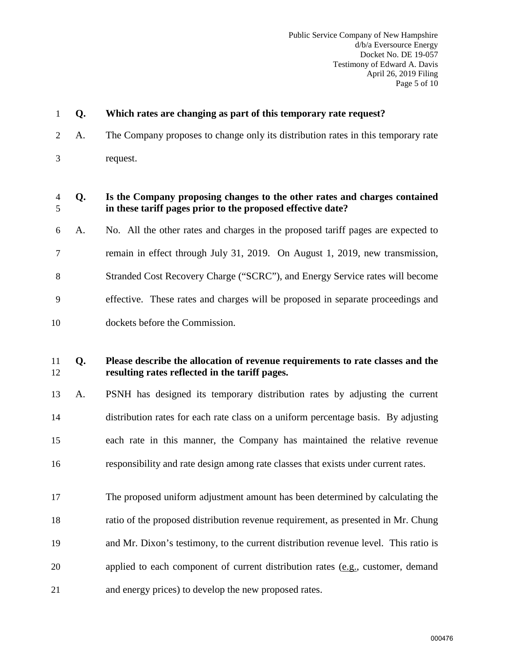| $\mathbf{1}$ | Q. | Which rates are changing as part of this temporary rate request?                                                                         |  |  |  |  |  |
|--------------|----|------------------------------------------------------------------------------------------------------------------------------------------|--|--|--|--|--|
| 2            | A. | The Company proposes to change only its distribution rates in this temporary rate                                                        |  |  |  |  |  |
| 3            |    | request.                                                                                                                                 |  |  |  |  |  |
| 4<br>5       | Q. | Is the Company proposing changes to the other rates and charges contained<br>in these tariff pages prior to the proposed effective date? |  |  |  |  |  |
| 6            | A. | No. All the other rates and charges in the proposed tariff pages are expected to                                                         |  |  |  |  |  |
| 7            |    | remain in effect through July 31, 2019. On August 1, 2019, new transmission,                                                             |  |  |  |  |  |
| 8            |    | Stranded Cost Recovery Charge ("SCRC"), and Energy Service rates will become                                                             |  |  |  |  |  |
| 9            |    | effective. These rates and charges will be proposed in separate proceedings and                                                          |  |  |  |  |  |
| 10           |    | dockets before the Commission.                                                                                                           |  |  |  |  |  |
| 11<br>12     | Q. | Please describe the allocation of revenue requirements to rate classes and the<br>resulting rates reflected in the tariff pages.         |  |  |  |  |  |
| 13           | A. | PSNH has designed its temporary distribution rates by adjusting the current                                                              |  |  |  |  |  |
| 14           |    | distribution rates for each rate class on a uniform percentage basis. By adjusting                                                       |  |  |  |  |  |
| 15           |    | each rate in this manner, the Company has maintained the relative revenue                                                                |  |  |  |  |  |
| 16           |    | responsibility and rate design among rate classes that exists under current rates.                                                       |  |  |  |  |  |
| 17           |    | The proposed uniform adjustment amount has been determined by calculating the                                                            |  |  |  |  |  |
| 18           |    | ratio of the proposed distribution revenue requirement, as presented in Mr. Chung                                                        |  |  |  |  |  |
| 19           |    | and Mr. Dixon's testimony, to the current distribution revenue level. This ratio is                                                      |  |  |  |  |  |

- 20 applied to each component of current distribution rates (e.g., customer, demand
- 21 and energy prices) to develop the new proposed rates.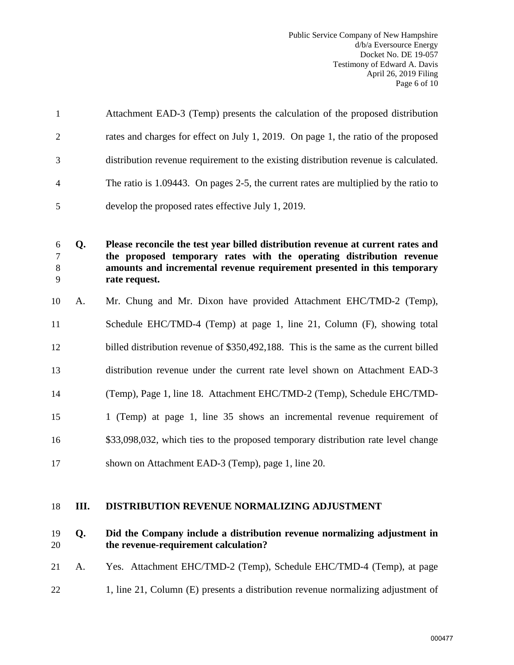Public Service Company of New Hampshire d/b/a Eversource Energy Docket No. DE 19-057 Testimony of Edward A. Davis April 26, 2019 Filing Page 6 of 10

| $\overline{1}$ | Attachment EAD-3 (Temp) presents the calculation of the proposed distribution        |
|----------------|--------------------------------------------------------------------------------------|
| 2              | rates and charges for effect on July 1, 2019. On page 1, the ratio of the proposed   |
| 3              | distribution revenue requirement to the existing distribution revenue is calculated. |
| $\overline{4}$ | The ratio is 1.09443. On pages 2-5, the current rates are multiplied by the ratio to |
| -5             | develop the proposed rates effective July 1, 2019.                                   |

**Q. Please reconcile the test year billed distribution revenue at current rates and the proposed temporary rates with the operating distribution revenue amounts and incremental revenue requirement presented in this temporary rate request.**

- 10 A. Mr. Chung and Mr. Dixon have provided Attachment EHC/TMD-2 (Temp),
- 11 Schedule EHC/TMD-4 (Temp) at page 1, line 21, Column (F), showing total
- 12 billed distribution revenue of \$350,492,188. This is the same as the current billed
- 13 distribution revenue under the current rate level shown on Attachment EAD-3
- 14 (Temp), Page 1, line 18. Attachment EHC/TMD-2 (Temp), Schedule EHC/TMD-
- 15 1 (Temp) at page 1, line 35 shows an incremental revenue requirement of
- 16 \$33,098,032, which ties to the proposed temporary distribution rate level change
- 17 shown on Attachment EAD-3 (Temp), page 1, line 20.

#### <span id="page-7-0"></span>18 **III. DISTRIBUTION REVENUE NORMALIZING ADJUSTMENT**

#### 19 **Q. Did the Company include a distribution revenue normalizing adjustment in**  20 **the revenue-requirement calculation?**

- 21 A. Yes. Attachment EHC/TMD-2 (Temp), Schedule EHC/TMD-4 (Temp), at page
- 22 1, line 21, Column (E) presents a distribution revenue normalizing adjustment of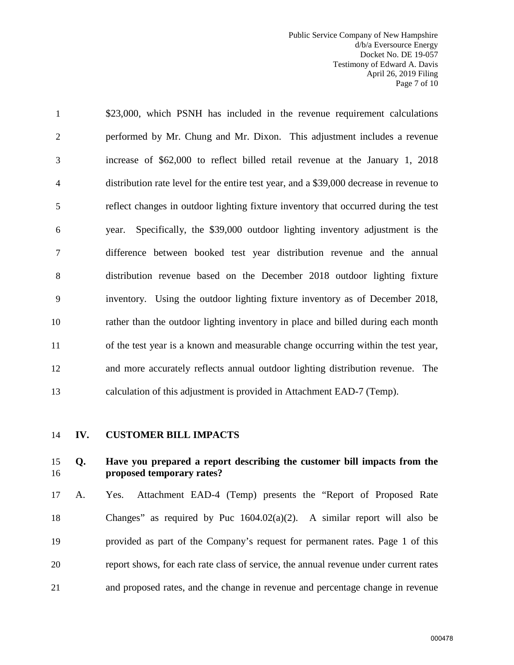Public Service Company of New Hampshire d/b/a Eversource Energy Docket No. DE 19-057 Testimony of Edward A. Davis April 26, 2019 Filing Page 7 of 10

1 \$23,000, which PSNH has included in the revenue requirement calculations 2 performed by Mr. Chung and Mr. Dixon. This adjustment includes a revenue 3 increase of \$62,000 to reflect billed retail revenue at the January 1, 2018 4 distribution rate level for the entire test year, and a \$39,000 decrease in revenue to 5 reflect changes in outdoor lighting fixture inventory that occurred during the test 6 year. Specifically, the \$39,000 outdoor lighting inventory adjustment is the 7 difference between booked test year distribution revenue and the annual 8 distribution revenue based on the December 2018 outdoor lighting fixture 9 inventory. Using the outdoor lighting fixture inventory as of December 2018, 10 rather than the outdoor lighting inventory in place and billed during each month 11 of the test year is a known and measurable change occurring within the test year, 12 and more accurately reflects annual outdoor lighting distribution revenue. The 13 calculation of this adjustment is provided in Attachment EAD-7 (Temp).

<span id="page-8-0"></span>

#### 14 **IV. CUSTOMER BILL IMPACTS**

## 15 **Q. Have you prepared a report describing the customer bill impacts from the**  16 **proposed temporary rates?**

17 A. Yes. Attachment EAD-4 (Temp) presents the "Report of Proposed Rate 18 Changes" as required by Puc 1604.02(a)(2). A similar report will also be 19 provided as part of the Company's request for permanent rates. Page 1 of this 20 report shows, for each rate class of service, the annual revenue under current rates 21 and proposed rates, and the change in revenue and percentage change in revenue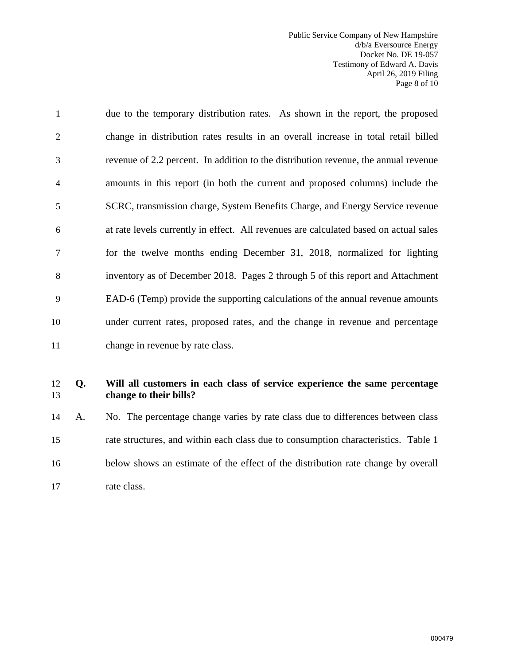Public Service Company of New Hampshire d/b/a Eversource Energy Docket No. DE 19-057 Testimony of Edward A. Davis April 26, 2019 Filing Page 8 of 10

1 due to the temporary distribution rates. As shown in the report, the proposed 2 change in distribution rates results in an overall increase in total retail billed 3 revenue of 2.2 percent. In addition to the distribution revenue, the annual revenue 4 amounts in this report (in both the current and proposed columns) include the 5 SCRC, transmission charge, System Benefits Charge, and Energy Service revenue 6 at rate levels currently in effect. All revenues are calculated based on actual sales 7 for the twelve months ending December 31, 2018, normalized for lighting 8 inventory as of December 2018. Pages 2 through 5 of this report and Attachment 9 EAD-6 (Temp) provide the supporting calculations of the annual revenue amounts 10 under current rates, proposed rates, and the change in revenue and percentage 11 change in revenue by rate class.

# 12 **Q. Will all customers in each class of service experience the same percentage**  13 **change to their bills?**

14 A. No. The percentage change varies by rate class due to differences between class 15 rate structures, and within each class due to consumption characteristics. Table 1 16 below shows an estimate of the effect of the distribution rate change by overall 17 rate class.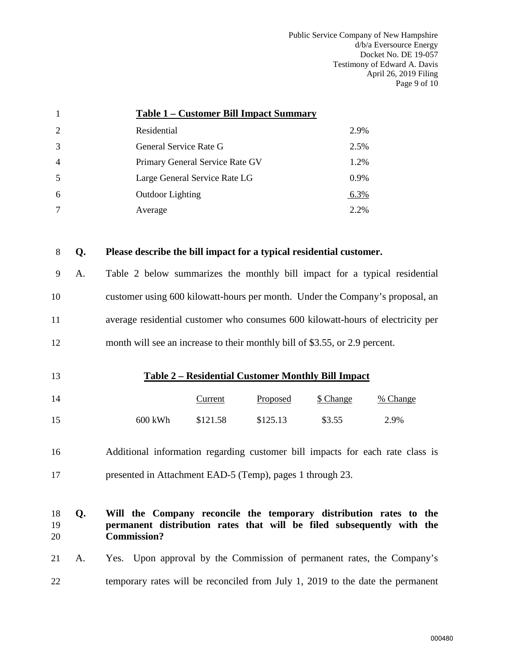Public Service Company of New Hampshire d/b/a Eversource Energy Docket No. DE 19-057 Testimony of Edward A. Davis April 26, 2019 Filing Page 9 of 10

| 1              |                                                                               |                                                                                                                                                                   |                                                                            | Table 1 - Customer Bill Impact Summary |           |          |  |  |
|----------------|-------------------------------------------------------------------------------|-------------------------------------------------------------------------------------------------------------------------------------------------------------------|----------------------------------------------------------------------------|----------------------------------------|-----------|----------|--|--|
| 2              |                                                                               | Residential                                                                                                                                                       |                                                                            |                                        | 2.9%      |          |  |  |
| 3              |                                                                               | General Service Rate G                                                                                                                                            |                                                                            |                                        |           | 2.5%     |  |  |
| 4              |                                                                               |                                                                                                                                                                   | Primary General Service Rate GV                                            |                                        | 1.2%      |          |  |  |
| 5              |                                                                               |                                                                                                                                                                   | Large General Service Rate LG                                              |                                        | 0.9%      |          |  |  |
| 6              |                                                                               | <b>Outdoor Lighting</b>                                                                                                                                           |                                                                            |                                        | 6.3%      |          |  |  |
| $\tau$         |                                                                               | Average                                                                                                                                                           |                                                                            |                                        | 2.2%      |          |  |  |
| 8              | Q.                                                                            | Please describe the bill impact for a typical residential customer.                                                                                               |                                                                            |                                        |           |          |  |  |
| 9              | A <sub>1</sub>                                                                |                                                                                                                                                                   | Table 2 below summarizes the monthly bill impact for a typical residential |                                        |           |          |  |  |
| 10             |                                                                               | customer using 600 kilowatt-hours per month. Under the Company's proposal, an                                                                                     |                                                                            |                                        |           |          |  |  |
| 11             |                                                                               | average residential customer who consumes 600 kilowatt-hours of electricity per                                                                                   |                                                                            |                                        |           |          |  |  |
| 12             |                                                                               | month will see an increase to their monthly bill of \$3.55, or 2.9 percent.                                                                                       |                                                                            |                                        |           |          |  |  |
| 13             | <b>Table 2 – Residential Customer Monthly Bill Impact</b>                     |                                                                                                                                                                   |                                                                            |                                        |           |          |  |  |
| 14             |                                                                               |                                                                                                                                                                   | Current                                                                    | Proposed                               | \$ Change | % Change |  |  |
| 15             |                                                                               | 600 kWh                                                                                                                                                           | \$121.58                                                                   | \$125.13                               | \$3.55    | 2.9%     |  |  |
| 16             | Additional information regarding customer bill impacts for each rate class is |                                                                                                                                                                   |                                                                            |                                        |           |          |  |  |
| 17             |                                                                               | presented in Attachment EAD-5 (Temp), pages 1 through 23.                                                                                                         |                                                                            |                                        |           |          |  |  |
| 18<br>19<br>20 | Q.                                                                            | Will the Company reconcile the temporary distribution rates to the<br>permanent distribution rates that will be filed subsequently with the<br><b>Commission?</b> |                                                                            |                                        |           |          |  |  |

# 21 A. Yes. Upon approval by the Commission of permanent rates, the Company's 22 temporary rates will be reconciled from July 1, 2019 to the date the permanent